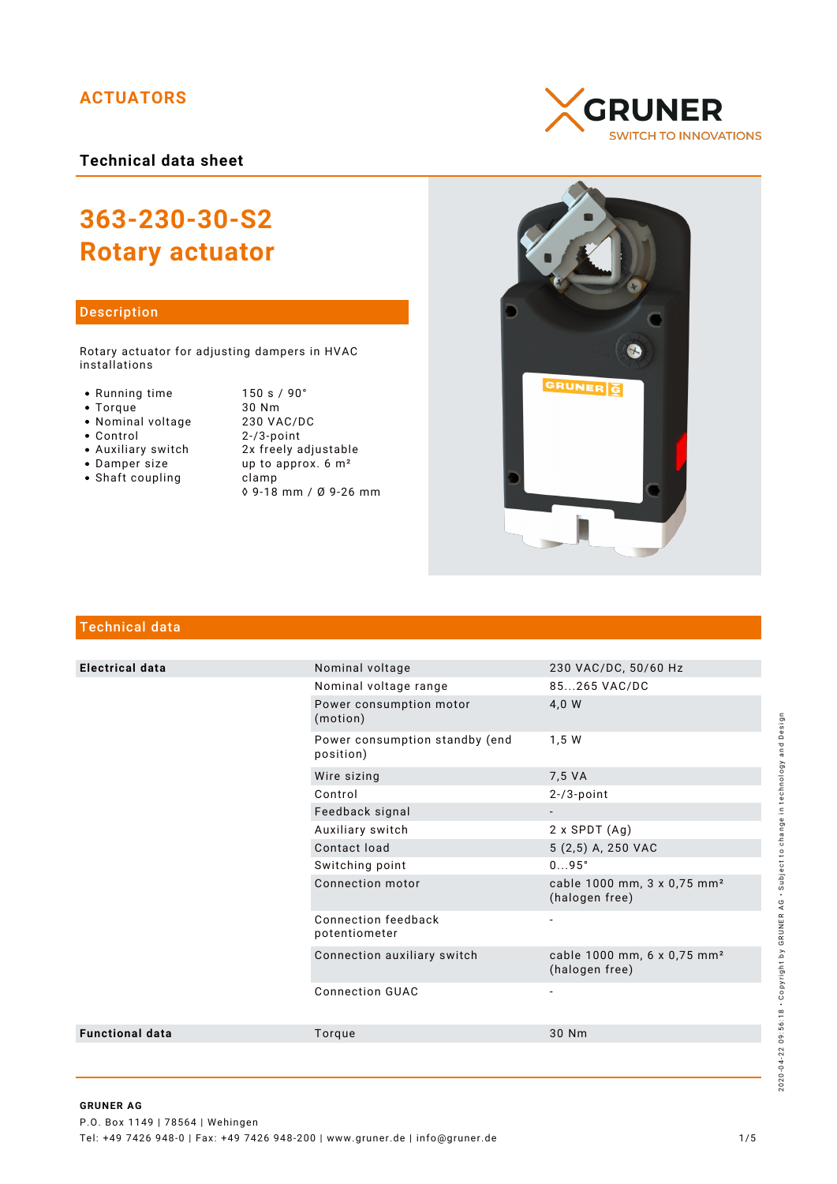# **ACTUATORS**

**Technical data sheet**

# **363-230-30-S2 Rotary actuator**

## Description

Rotary actuator for adjusting dampers in HVAC installations

- 
- 
- 
- Nominal voltage<br>• Control
- 
- 
- $\bullet$  Shaft coupling

• Running time 150 s / 90°<br>• Torque 30 Nm Torque 30 Nm  $2 - / 3$ -point Auxiliary switch 2x freely adjustable • Damper size  $up$  up to approx.  $6 \text{ m}^2$ <br>• Shaft coupling clamp ◊ 9-18 mm / Ø 9-26 mm





# Technical data

| <b>Electrical data</b> | Nominal voltage                             | 230 VAC/DC, 50/60 Hz                                      |
|------------------------|---------------------------------------------|-----------------------------------------------------------|
|                        | Nominal voltage range                       | 85265 VAC/DC                                              |
|                        | Power consumption motor<br>(motion)         | 4,0 W                                                     |
|                        | Power consumption standby (end<br>position) | 1,5 W                                                     |
|                        | Wire sizing                                 | 7,5 VA                                                    |
|                        | Control                                     | $2 - 73$ -point                                           |
|                        | Feedback signal                             |                                                           |
|                        | Auxiliary switch                            | $2 \times$ SPDT $(Ag)$                                    |
|                        | Contact load                                | 5 (2,5) A, 250 VAC                                        |
|                        | Switching point                             | $095^\circ$                                               |
|                        | Connection motor                            | cable 1000 mm, 3 x 0,75 mm <sup>2</sup><br>(halogen free) |
|                        | Connection feedback<br>potentiometer        | $\overline{\phantom{a}}$                                  |
|                        | Connection auxiliary switch                 | cable 1000 mm, 6 x 0,75 mm <sup>2</sup><br>(halogen free) |
|                        | <b>Connection GUAC</b>                      |                                                           |
| <b>Functional data</b> | Torque                                      | 30 Nm                                                     |
|                        |                                             |                                                           |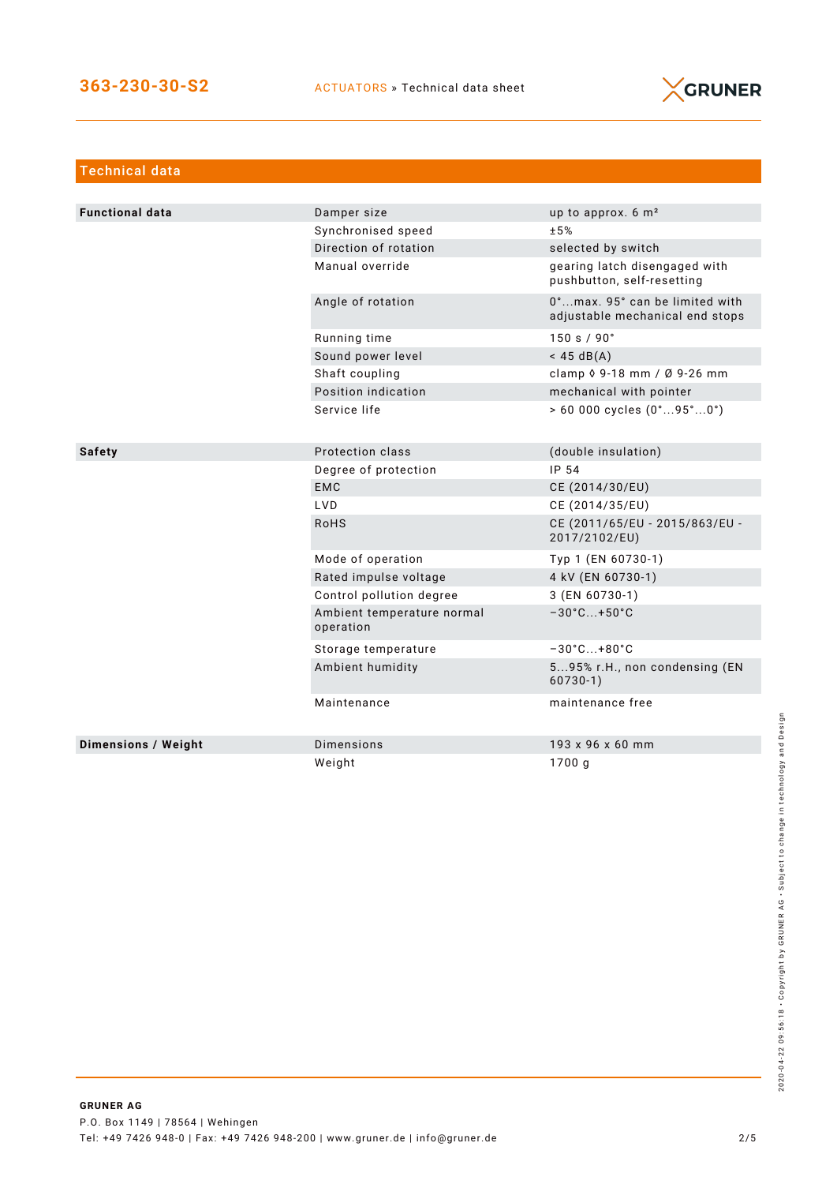

| <b>Technical data</b>      |                                         |                                                                   |
|----------------------------|-----------------------------------------|-------------------------------------------------------------------|
|                            |                                         |                                                                   |
| <b>Functional data</b>     | Damper size                             | up to approx. $6 \text{ m}^2$                                     |
|                            | Synchronised speed                      | ±5%                                                               |
|                            | Direction of rotation                   | selected by switch                                                |
|                            | Manual override                         | gearing latch disengaged with<br>pushbutton, self-resetting       |
|                            | Angle of rotation                       | 0°max. 95° can be limited with<br>adjustable mechanical end stops |
|                            | Running time                            | 150 s / 90°                                                       |
|                            | Sound power level                       | $<$ 45 dB(A)                                                      |
|                            | Shaft coupling                          | clamp $\sqrt{9} - 18$ mm / $\sqrt{9} - 26$ mm                     |
|                            | Position indication                     | mechanical with pointer                                           |
|                            | Service life                            | $> 60000$ cycles $(0^{\circ}95^{\circ}0^{\circ})$                 |
|                            |                                         |                                                                   |
| <b>Safety</b>              | Protection class                        | (double insulation)                                               |
|                            | Degree of protection                    | IP 54                                                             |
|                            | <b>EMC</b>                              | CE (2014/30/EU)                                                   |
|                            | <b>LVD</b>                              | CE (2014/35/EU)                                                   |
|                            | <b>RoHS</b>                             | CE (2011/65/EU - 2015/863/EU -<br>2017/2102/EU)                   |
|                            | Mode of operation                       | Typ 1 (EN 60730-1)                                                |
|                            | Rated impulse voltage                   | 4 kV (EN 60730-1)                                                 |
|                            | Control pollution degree                | 3 (EN 60730-1)                                                    |
|                            | Ambient temperature normal<br>operation | $-30^{\circ}$ C +50 $^{\circ}$ C                                  |
|                            | Storage temperature                     | $-30^{\circ}$ C +80 $^{\circ}$ C                                  |
|                            | Ambient humidity                        | 595% r.H., non condensing (EN<br>$60730-1)$                       |
|                            | Maintenance                             | maintenance free                                                  |
| <b>Dimensions / Weight</b> | <b>Dimensions</b>                       | 193 x 96 x 60 mm                                                  |
|                            | Weight                                  | 1700 g                                                            |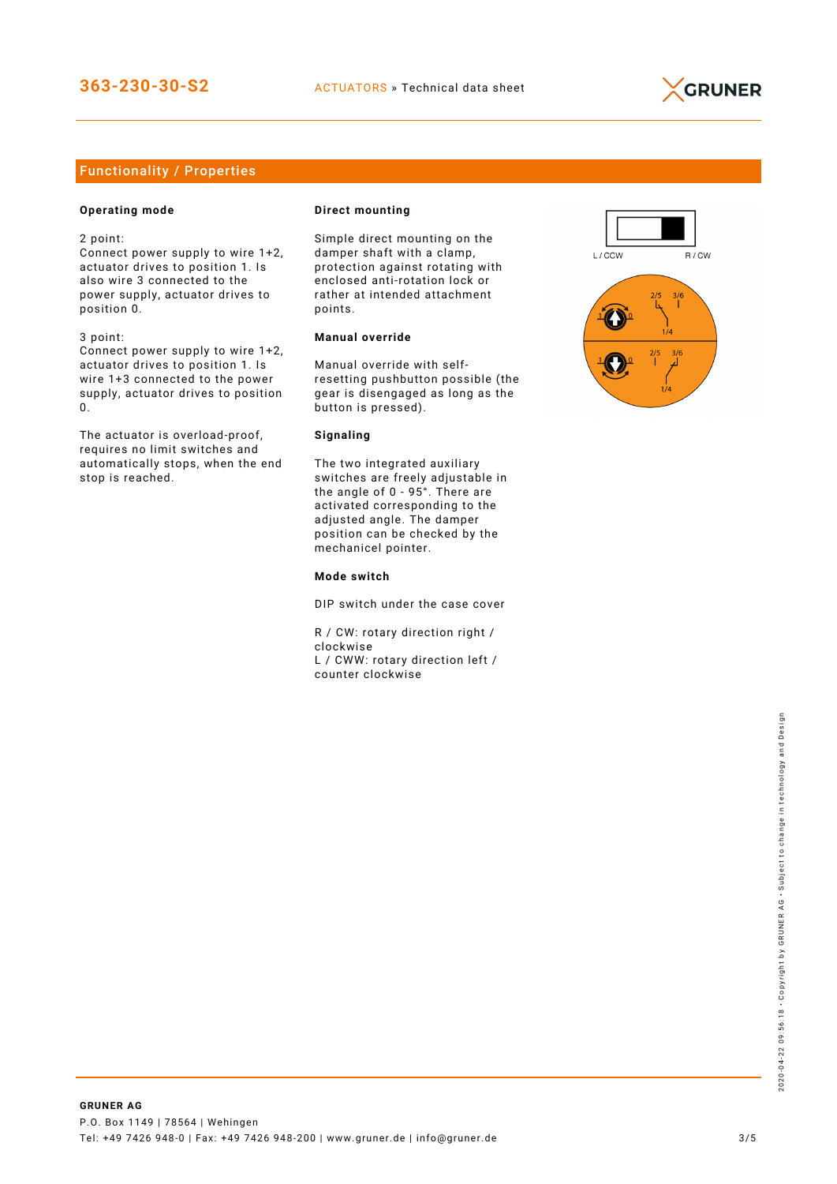

# Functionality / Properties

## **Operating mode**

2 point:

Connect power supply to wire 1+2, actuator drives to position 1. Is also wire 3 connected to the power supply, actuator drives to position 0.

3 point:

Connect power supply to wire 1+2, actuator drives to position 1. Is wire 1+3 connected to the power supply, actuator drives to position 0.

The actuator is overload-proof, requires no limit switches and automatically stops, when the end stop is reached.

#### **Direct mounting**

Simple direct mounting on the damper shaft with a clamp, protection against rotating with enclosed anti-rotation lock or rather at intended attachment points.

## **Manual override**

Manual override with selfresetting pushbutton possible (the gear is disengaged as long as the button is pressed).

#### **Signaling**

The two integrated auxiliary switches are freely adjustable in the angle of 0 - 95°. There are activated corresponding to the adjusted angle. The damper position can be checked by the mechanicel pointer.

#### **Mode switch**

DIP switch under the case cover

R / CW: rotary direction right / clockwise L / CWW: rotary direction left / counter clockwise

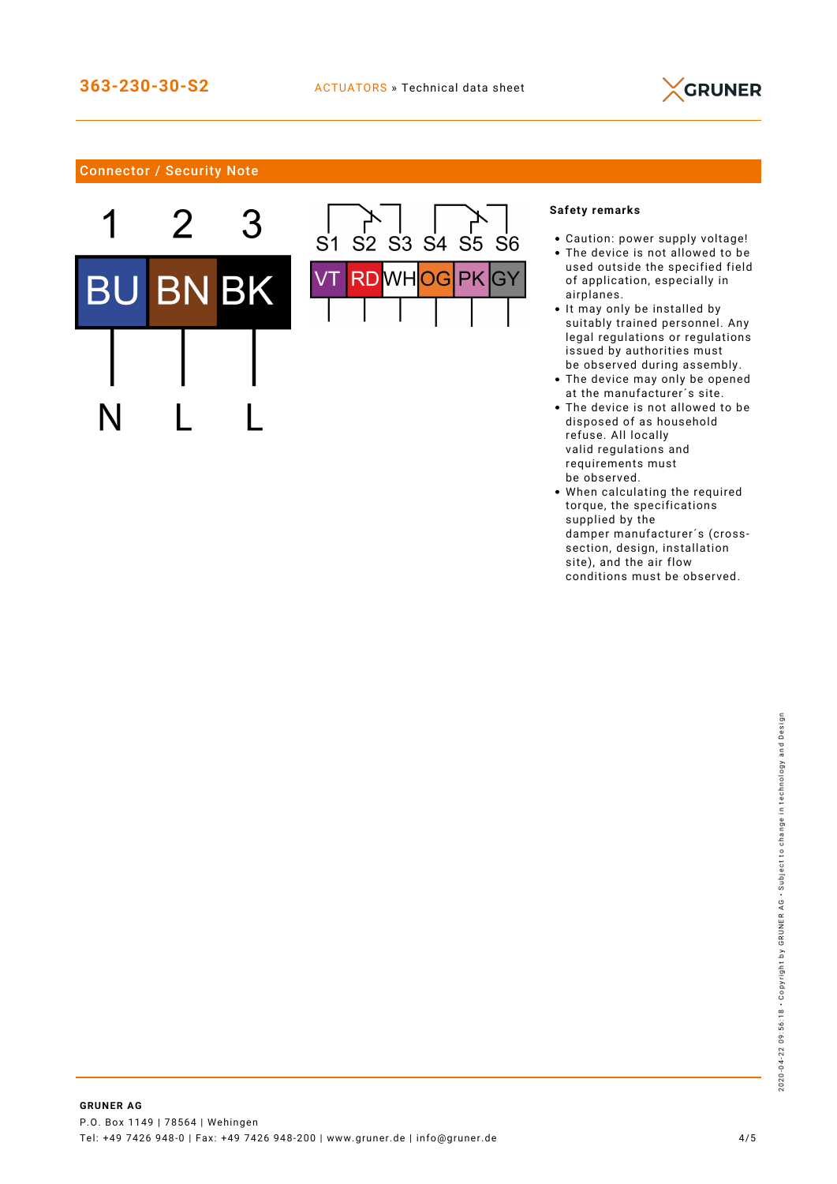

# Connector / Security Note





## **Safety remarks**

- Caution: power supply voltage!
- The device is not allowed to be used outside the specified field of application, especially in airplanes.
- It may only be installed by suitably trained personnel. Any legal regulations or regulations issued by authorities must be observed during assembly.
- The device may only be opened at the manufacturer´s site.
- The device is not allowed to be disposed of as household refuse. All locally valid regulations and requirements must be observed.
- When calculating the required torque, the specifications supplied by the damper manufacturer´s (crosssection, design, installation site), and the air flow conditions must be observed.